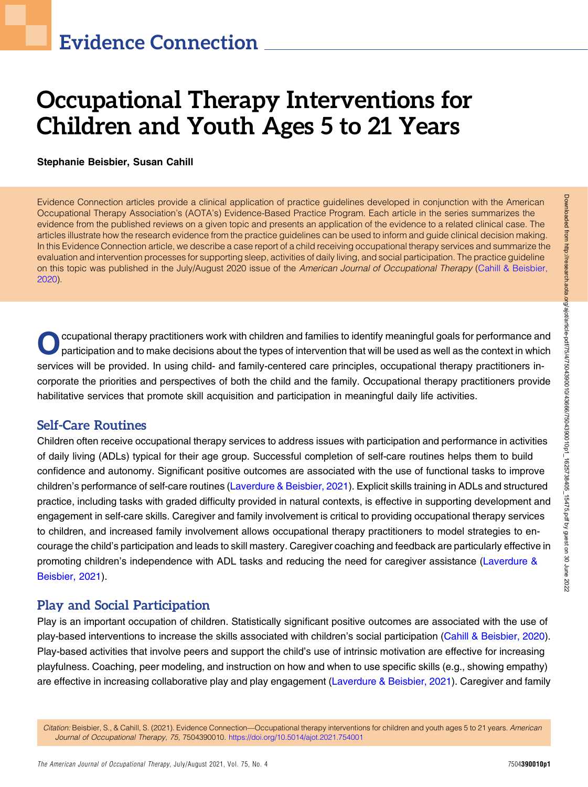# Occupational Therapy Interventions for Children and Youth Ages 5 to 21 Years

#### Stephanie Beisbier, Susan Cahill

Evidence Connection articles provide a clinical application of practice guidelines developed in conjunction with the American Occupational Therapy Association's (AOTA's) Evidence-Based Practice Program. Each article in the series summarizes the evidence from the published reviews on a given topic and presents an application of the evidence to a related clinical case. The articles illustrate how the research evidence from the practice guidelines can be used to inform and guide clinical decision making. In this Evidence Connection article, we describe a case report of a child receiving occupational therapy services and summarize the evaluation and intervention processes for supporting sleep, activities of daily living, and social participation. The practice guideline on this topic was published in the July/August 2020 issue of the American Journal of Occupational Therapy ([Cahill & Beisbier,](#page-4-0) [2020\)](#page-4-0).

ccupational therapy practitioners work with children and families to identify meaningful goals for performance and<br>participation and to make decisions about the types of intervention that will be used as well as the contex services will be provided. In using child- and family-centered care principles, occupational therapy practitioners incorporate the priorities and perspectives of both the child and the family. Occupational therapy practitioners provide habilitative services that promote skill acquisition and participation in meaningful daily life activities.

## Self-Care Routines

Children often receive occupational therapy services to address issues with participation and performance in activities of daily living (ADLs) typical for their age group. Successful completion of self-care routines helps them to build confidence and autonomy. Significant positive outcomes are associated with the use of functional tasks to improve children's performance of self-care routines ([Laverdure & Beisbier, 2021\)](#page-5-0). Explicit skills training in ADLs and structured practice, including tasks with graded difficulty provided in natural contexts, is effective in supporting development and engagement in self-care skills. Caregiver and family involvement is critical to providing occupational therapy services to children, and increased family involvement allows occupational therapy practitioners to model strategies to encourage the child's participation and leads to skill mastery. Caregiver coaching and feedback are particularly effective in promoting children's independence with ADL tasks and reducing the need for caregiver assistance ([Laverdure &](#page-5-0) [Beisbier, 2021\)](#page-5-0).

## Play and Social Participation

Play is an important occupation of children. Statistically significant positive outcomes are associated with the use of play-based interventions to increase the skills associated with children's social participation ([Cahill & Beisbier, 2020](#page-4-0)). Play-based activities that involve peers and support the child's use of intrinsic motivation are effective for increasing playfulness. Coaching, peer modeling, and instruction on how and when to use specific skills (e.g., showing empathy) are effective in increasing collaborative play and play engagement [\(Laverdure & Beisbier, 2021](#page-5-0)). Caregiver and family

Citation: Beisbier, S., & Cahill, S. (2021). Evidence Connection—Occupational therapy interventions for children and youth ages 5 to 21 years. American Journal of Occupational Therapy, 75, 7504390010. <https://doi.org/10.5014/ajot.2021.754001>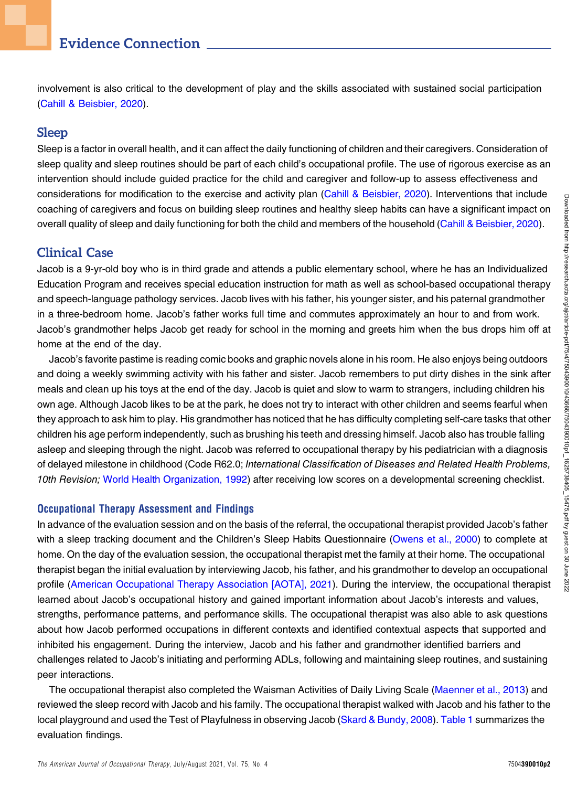# Evidence Connection

involvement is also critical to the development of play and the skills associated with sustained social participation [\(Cahill & Beisbier, 2020](#page-4-0)).

### Sleep

Sleep is a factor in overall health, and it can affect the daily functioning of children and their caregivers. Consideration of sleep quality and sleep routines should be part of each child's occupational profile. The use of rigorous exercise as an intervention should include guided practice for the child and caregiver and follow-up to assess effectiveness and considerations for modification to the exercise and activity plan ([Cahill & Beisbier, 2020](#page-4-0)). Interventions that include coaching of caregivers and focus on building sleep routines and healthy sleep habits can have a significant impact on overall quality of sleep and daily functioning for both the child and members of the household ([Cahill & Beisbier, 2020](#page-4-0)).

## Clinical Case

Jacob is a 9-yr-old boy who is in third grade and attends a public elementary school, where he has an Individualized Education Program and receives special education instruction for math as well as school-based occupational therapy and speech-language pathology services. Jacob lives with his father, his younger sister, and his paternal grandmother in a three-bedroom home. Jacob's father works full time and commutes approximately an hour to and from work. Jacob's grandmother helps Jacob get ready for school in the morning and greets him when the bus drops him off at home at the end of the day.

Jacob's favorite pastime is reading comic books and graphic novels alone in his room. He also enjoys being outdoors and doing a weekly swimming activity with his father and sister. Jacob remembers to put dirty dishes in the sink after meals and clean up his toys at the end of the day. Jacob is quiet and slow to warm to strangers, including children his own age. Although Jacob likes to be at the park, he does not try to interact with other children and seems fearful when they approach to ask him to play. His grandmother has noticed that he has difficulty completing self-care tasks that other children his age perform independently, such as brushing his teeth and dressing himself. Jacob also has trouble falling asleep and sleeping through the night. Jacob was referred to occupational therapy by his pediatrician with a diagnosis of delayed milestone in childhood (Code R62.0; International Classification of Diseases and Related Health Problems, 10th Revision; [World Health Organization, 1992\)](#page-5-1) after receiving low scores on a developmental screening checklist.

#### Occupational Therapy Assessment and Findings

In advance of the evaluation session and on the basis of the referral, the occupational therapist provided Jacob's father with a sleep tracking document and the Children's Sleep Habits Questionnaire ([Owens et al., 2000](#page-5-2)) to complete at home. On the day of the evaluation session, the occupational therapist met the family at their home. The occupational therapist began the initial evaluation by interviewing Jacob, his father, and his grandmother to develop an occupational profile [\(American Occupational Therapy Association \[AOTA\], 2021\)](#page-4-1). During the interview, the occupational therapist learned about Jacob's occupational history and gained important information about Jacob's interests and values, strengths, performance patterns, and performance skills. The occupational therapist was also able to ask questions about how Jacob performed occupations in different contexts and identified contextual aspects that supported and inhibited his engagement. During the interview, Jacob and his father and grandmother identified barriers and challenges related to Jacob's initiating and performing ADLs, following and maintaining sleep routines, and sustaining peer interactions.

The occupational therapist also completed the Waisman Activities of Daily Living Scale ([Maenner et al., 2013\)](#page-5-3) and reviewed the sleep record with Jacob and his family. The occupational therapist walked with Jacob and his father to the local playground and used the Test of Playfulness in observing Jacob [\(Skard & Bundy, 2008\)](#page-5-4). [Table 1](#page-2-0) summarizes the evaluation findings.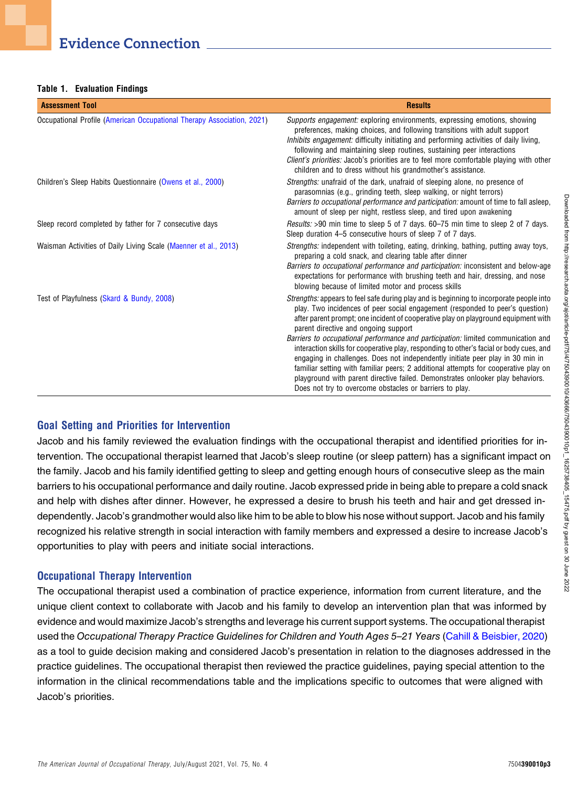<span id="page-2-0"></span>Table 1. Evaluation Findings

| <b>Assessment Tool</b>                                                 | <b>Results</b>                                                                                                                                                                                                                                                                                                                                                                                                                                                                                                                                                                                                                                                                                                                                                                                                      |
|------------------------------------------------------------------------|---------------------------------------------------------------------------------------------------------------------------------------------------------------------------------------------------------------------------------------------------------------------------------------------------------------------------------------------------------------------------------------------------------------------------------------------------------------------------------------------------------------------------------------------------------------------------------------------------------------------------------------------------------------------------------------------------------------------------------------------------------------------------------------------------------------------|
| Occupational Profile (American Occupational Therapy Association, 2021) | <i>Supports engagement:</i> exploring environments, expressing emotions, showing<br>preferences, making choices, and following transitions with adult support<br>Inhibits engagement: difficulty initiating and performing activities of daily living,<br>following and maintaining sleep routines, sustaining peer interactions<br><i>Client's priorities:</i> Jacob's priorities are to feel more comfortable playing with other<br>children and to dress without his grandmother's assistance.                                                                                                                                                                                                                                                                                                                   |
| Children's Sleep Habits Questionnaire (Owens et al., 2000)             | <i>Strengths:</i> unafraid of the dark, unafraid of sleeping alone, no presence of<br>parasomnias (e.g., grinding teeth, sleep walking, or night terrors)<br><i>Barriers to occupational performance and participation:</i> amount of time to fall asleep,<br>amount of sleep per night, restless sleep, and tired upon awakening                                                                                                                                                                                                                                                                                                                                                                                                                                                                                   |
| Sleep record completed by father for 7 consecutive days                | <i>Results:</i> >90 min time to sleep 5 of 7 days. 60–75 min time to sleep 2 of 7 days.<br>Sleep duration 4–5 consecutive hours of sleep 7 of 7 days.                                                                                                                                                                                                                                                                                                                                                                                                                                                                                                                                                                                                                                                               |
| Waisman Activities of Daily Living Scale (Maenner et al., 2013)        | <i>Strengths:</i> independent with toileting, eating, drinking, bathing, putting away toys,<br>preparing a cold snack, and clearing table after dinner<br><i>Barriers to occupational performance and participation:</i> inconsistent and below-age<br>expectations for performance with brushing teeth and hair, dressing, and nose<br>blowing because of limited motor and process skills                                                                                                                                                                                                                                                                                                                                                                                                                         |
| Test of Playfulness (Skard & Bundy, 2008)                              | <i>Strengths:</i> appears to feel safe during play and is beginning to incorporate people into<br>play. Two incidences of peer social engagement (responded to peer's question)<br>after parent prompt; one incident of cooperative play on playground equipment with<br>parent directive and ongoing support<br>Barriers to occupational performance and participation: limited communication and<br>interaction skills for cooperative play, responding to other's facial or body cues, and<br>engaging in challenges. Does not independently initiate peer play in 30 min in<br>familiar setting with familiar peers; 2 additional attempts for cooperative play on<br>playground with parent directive failed. Demonstrates onlooker play behaviors.<br>Does not try to overcome obstacles or barriers to play. |

#### Goal Setting and Priorities for Intervention

Jacob and his family reviewed the evaluation findings with the occupational therapist and identified priorities for intervention. The occupational therapist learned that Jacob's sleep routine (or sleep pattern) has a significant impact on the family. Jacob and his family identified getting to sleep and getting enough hours of consecutive sleep as the main barriers to his occupational performance and daily routine. Jacob expressed pride in being able to prepare a cold snack and help with dishes after dinner. However, he expressed a desire to brush his teeth and hair and get dressed independently. Jacob's grandmother would also like him to be able to blow his nose without support. Jacob and his family recognized his relative strength in social interaction with family members and expressed a desire to increase Jacob's opportunities to play with peers and initiate social interactions.

#### Occupational Therapy Intervention

The occupational therapist used a combination of practice experience, information from current literature, and the unique client context to collaborate with Jacob and his family to develop an intervention plan that was informed by evidence and would maximize Jacob's strengths and leverage his current support systems. The occupational therapist used the Occupational Therapy Practice Guidelines for Children and Youth Ages 5–21 Years ([Cahill & Beisbier, 2020\)](#page-4-0) as a tool to guide decision making and considered Jacob's presentation in relation to the diagnoses addressed in the practice guidelines. The occupational therapist then reviewed the practice guidelines, paying special attention to the information in the clinical recommendations table and the implications specific to outcomes that were aligned with Jacob's priorities.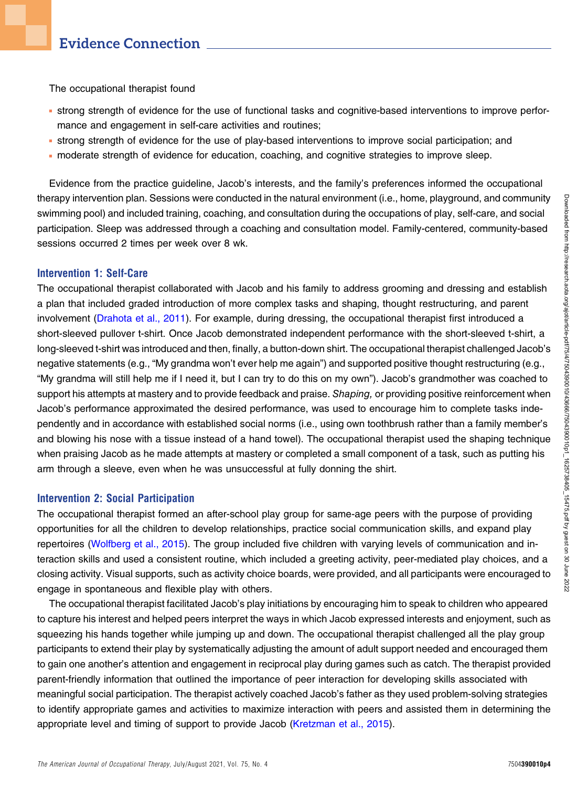The occupational therapist found

- <sup>n</sup> strong strength of evidence for the use of functional tasks and cognitive-based interventions to improve performance and engagement in self-care activities and routines;
- <sup>n</sup> strong strength of evidence for the use of play-based interventions to improve social participation; and
- <sup>n</sup> moderate strength of evidence for education, coaching, and cognitive strategies to improve sleep.

Evidence from the practice guideline, Jacob's interests, and the family's preferences informed the occupational therapy intervention plan. Sessions were conducted in the natural environment (i.e., home, playground, and community swimming pool) and included training, coaching, and consultation during the occupations of play, self-care, and social participation. Sleep was addressed through a coaching and consultation model. Family-centered, community-based sessions occurred 2 times per week over 8 wk.

#### Intervention 1: Self-Care

The occupational therapist collaborated with Jacob and his family to address grooming and dressing and establish a plan that included graded introduction of more complex tasks and shaping, thought restructuring, and parent involvement [\(Drahota et al., 2011\)](#page-4-2). For example, during dressing, the occupational therapist first introduced a short-sleeved pullover t-shirt. Once Jacob demonstrated independent performance with the short-sleeved t-shirt, a long-sleeved t-shirt was introduced and then, finally, a button-down shirt. The occupational therapist challenged Jacob's negative statements (e.g., "My grandma won't ever help me again") and supported positive thought restructuring (e.g., "My grandma will still help me if I need it, but I can try to do this on my own"). Jacob's grandmother was coached to support his attempts at mastery and to provide feedback and praise. Shaping, or providing positive reinforcement when Jacob's performance approximated the desired performance, was used to encourage him to complete tasks independently and in accordance with established social norms (i.e., using own toothbrush rather than a family member's and blowing his nose with a tissue instead of a hand towel). The occupational therapist used the shaping technique when praising Jacob as he made attempts at mastery or completed a small component of a task, such as putting his arm through a sleeve, even when he was unsuccessful at fully donning the shirt.

## Intervention 2: Social Participation

The occupational therapist formed an after-school play group for same-age peers with the purpose of providing opportunities for all the children to develop relationships, practice social communication skills, and expand play repertoires ([Wolfberg et al., 2015](#page-5-5)). The group included five children with varying levels of communication and interaction skills and used a consistent routine, which included a greeting activity, peer-mediated play choices, and a closing activity. Visual supports, such as activity choice boards, were provided, and all participants were encouraged to engage in spontaneous and flexible play with others.

The occupational therapist facilitated Jacob's play initiations by encouraging him to speak to children who appeared to capture his interest and helped peers interpret the ways in which Jacob expressed interests and enjoyment, such as squeezing his hands together while jumping up and down. The occupational therapist challenged all the play group participants to extend their play by systematically adjusting the amount of adult support needed and encouraged them to gain one another's attention and engagement in reciprocal play during games such as catch. The therapist provided parent-friendly information that outlined the importance of peer interaction for developing skills associated with meaningful social participation. The therapist actively coached Jacob's father as they used problem-solving strategies to identify appropriate games and activities to maximize interaction with peers and assisted them in determining the appropriate level and timing of support to provide Jacob ([Kretzman et al., 2015](#page-4-3)).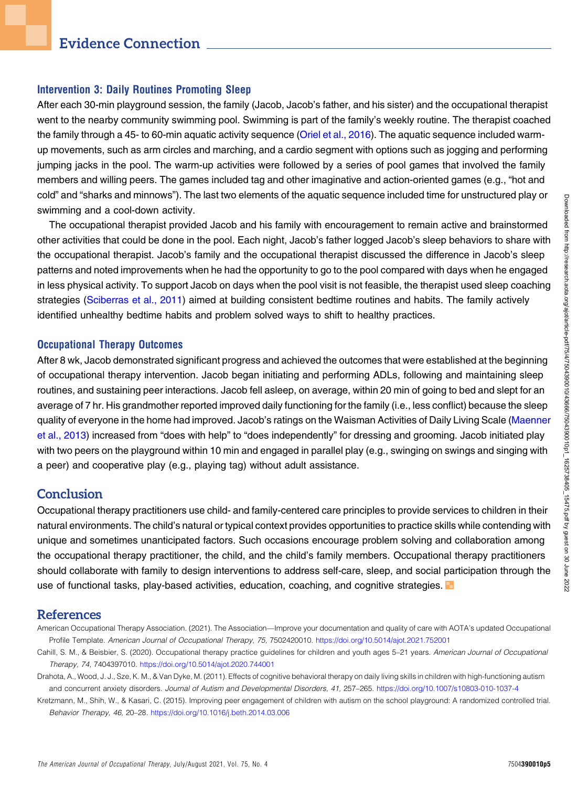#### Intervention 3: Daily Routines Promoting Sleep

After each 30-min playground session, the family (Jacob, Jacob's father, and his sister) and the occupational therapist went to the nearby community swimming pool. Swimming is part of the family's weekly routine. The therapist coached the family through a 45- to 60-min aquatic activity sequence [\(Oriel et al., 2016\)](#page-5-6). The aquatic sequence included warmup movements, such as arm circles and marching, and a cardio segment with options such as jogging and performing jumping jacks in the pool. The warm-up activities were followed by a series of pool games that involved the family members and willing peers. The games included tag and other imaginative and action-oriented games (e.g., "hot and cold" and "sharks and minnows"). The last two elements of the aquatic sequence included time for unstructured play or swimming and a cool-down activity.

The occupational therapist provided Jacob and his family with encouragement to remain active and brainstormed other activities that could be done in the pool. Each night, Jacob's father logged Jacob's sleep behaviors to share with the occupational therapist. Jacob's family and the occupational therapist discussed the difference in Jacob's sleep patterns and noted improvements when he had the opportunity to go to the pool compared with days when he engaged in less physical activity. To support Jacob on days when the pool visit is not feasible, the therapist used sleep coaching strategies [\(Sciberras et al., 2011](#page-5-7)) aimed at building consistent bedtime routines and habits. The family actively identified unhealthy bedtime habits and problem solved ways to shift to healthy practices.

#### Occupational Therapy Outcomes

After 8 wk, Jacob demonstrated significant progress and achieved the outcomes that were established at the beginning of occupational therapy intervention. Jacob began initiating and performing ADLs, following and maintaining sleep routines, and sustaining peer interactions. Jacob fell asleep, on average, within 20 min of going to bed and slept for an average of 7 hr. His grandmother reported improved daily functioning for the family (i.e., less conflict) because the sleep quality of everyone in the home had improved. Jacob's ratings on the Waisman Activities of Daily Living Scale [\(Maenner](#page-5-3) [et al., 2013\)](#page-5-3) increased from "does with help" to "does independently" for dressing and grooming. Jacob initiated play with two peers on the playground within 10 min and engaged in parallel play (e.g., swinging on swings and singing with a peer) and cooperative play (e.g., playing tag) without adult assistance.

## **Conclusion**

Occupational therapy practitioners use child- and family-centered care principles to provide services to children in their natural environments. The child's natural or typical context provides opportunities to practice skills while contending with unique and sometimes unanticipated factors. Such occasions encourage problem solving and collaboration among the occupational therapy practitioner, the child, and the child's family members. Occupational therapy practitioners should collaborate with family to design interventions to address self-care, sleep, and social participation through the use of functional tasks, play-based activities, education, coaching, and cognitive strategies.

## References

- <span id="page-4-1"></span>American Occupational Therapy Association. (2021). The Association—Improve your documentation and quality of care with AOTA's updated Occupational Profile Template. American Journal of Occupational Therapy, 75, 7502420010. <https://doi.org/10.5014/ajot.2021.752001>
- <span id="page-4-0"></span>Cahill, S. M., & Beisbier, S. (2020). Occupational therapy practice guidelines for children and youth ages 5–21 years. American Journal of Occupational Therapy, 74, 7404397010. <https://doi.org/10.5014/ajot.2020.744001>
- <span id="page-4-2"></span>Drahota, A., Wood, J. J., Sze, K. M., & Van Dyke, M. (2011). Effects of cognitive behavioral therapy on daily living skills in children with high-functioning autism and concurrent anxiety disorders. Journal of Autism and Developmental Disorders, 41, 257–265. <https://doi.org/10.1007/s10803-010-1037-4>
- <span id="page-4-3"></span>Kretzmann, M., Shih, W., & Kasari, C. (2015). Improving peer engagement of children with autism on the school playground: A randomized controlled trial. Behavior Therapy, 46, 20–28. <https://doi.org/10.1016/j.beth.2014.03.006>